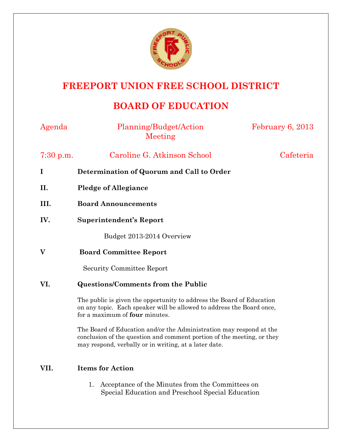

## **FREEPORT UNION FREE SCHOOL DISTRICT**

# **BOARD OF EDUCATION**

| Agenda      | Planning/Budget/Action<br>Meeting                                                                                                                                                                      | February 6, 2013 |
|-------------|--------------------------------------------------------------------------------------------------------------------------------------------------------------------------------------------------------|------------------|
| $7:30$ p.m. | Caroline G. Atkinson School                                                                                                                                                                            | Cafeteria        |
| $\bf{I}$    | Determination of Quorum and Call to Order                                                                                                                                                              |                  |
| II.         | <b>Pledge of Allegiance</b>                                                                                                                                                                            |                  |
| III.        | <b>Board Announcements</b>                                                                                                                                                                             |                  |
| IV.         | <b>Superintendent's Report</b>                                                                                                                                                                         |                  |
|             | Budget 2013-2014 Overview                                                                                                                                                                              |                  |
| V           | <b>Board Committee Report</b>                                                                                                                                                                          |                  |
|             | <b>Security Committee Report</b>                                                                                                                                                                       |                  |
| VI.         | <b>Questions/Comments from the Public</b>                                                                                                                                                              |                  |
|             | The public is given the opportunity to address the Board of Education<br>on any topic. Each speaker will be allowed to address the Board once,<br>for a maximum of <b>four</b> minutes.                |                  |
|             | The Board of Education and/or the Administration may respond at the<br>conclusion of the question and comment portion of the meeting, or they<br>may respond, verbally or in writing, at a later date. |                  |
| VII.        | <b>Items for Action</b>                                                                                                                                                                                |                  |

1. Acceptance of the Minutes from the Committees on Special Education and Preschool Special Education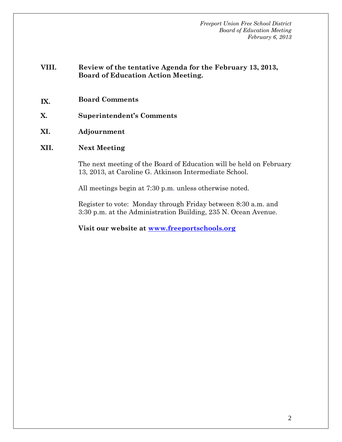*Freeport Union Free School District Board of Education Meeting February 6, 2013* 

## **VIII. Review of the tentative Agenda for the February 13, 2013, Board of Education Action Meeting.**

- **IX. Board Comments**
- **X. Superintendent's Comments**
- **XI. Adjournment**

### **XII. Next Meeting**

The next meeting of the Board of Education will be held on February 13, 2013, at Caroline G. Atkinson Intermediate School.

All meetings begin at 7:30 p.m. unless otherwise noted.

Register to vote: Monday through Friday between 8:30 a.m. and 3:30 p.m. at the Administration Building, 235 N. Ocean Avenue.

**Visit our website at www.freeportschools.org**